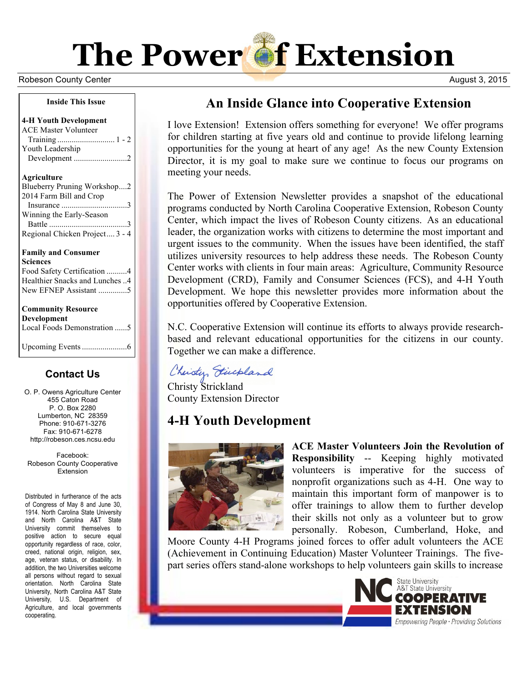

#### Robeson County Center **August 3, 2015**

#### **Inside This Issue**

**4-H Youth Development** ACE Master Volunteer Training ............................ 1 - 2 Youth Leadership Development ..........................2

#### **Agriculture**

| Blueberry Pruning Workshop2                                        |  |  |
|--------------------------------------------------------------------|--|--|
| 2014 Farm Bill and Crop                                            |  |  |
|                                                                    |  |  |
|                                                                    |  |  |
|                                                                    |  |  |
| Regional Chicken Project 3 - 4                                     |  |  |
| Winning the Early-Season<br><b>Family and Consumer</b><br>Sciences |  |  |
|                                                                    |  |  |
| Food Safety Certification 4                                        |  |  |
|                                                                    |  |  |

| Healthier Snacks and Lunches 4 |
|--------------------------------|
| New EFNEP Assistant 5          |
|                                |
| <b>Community Resource</b>      |
| Development                    |
| Local Foods Demonstration 5    |
|                                |
|                                |

### **Contact Us**

O. P. Owens Agriculture Center 455 Caton Road P. O. Box 2280 Lumberton, NC 28359 Phone: 910-671-3276 Fax: 910-671-6278 http://robeson.ces.ncsu.edu

Facebook: Robeson County Cooperative **Extension** 

Distributed in furtherance of the acts of Congress of May 8 and June 30, 1914. North Carolina State University and North Carolina A&T State University commit themselves to positive action to secure equal opportunity regardless of race, color, creed, national origin, religion, sex, age, veteran status, or disability. In addition, the two Universities welcome all persons without regard to sexual orientation. North Carolina State University, North Carolina A&T State University, U.S. Department of Agriculture, and local governments cooperating.

# **An Inside Glance into Cooperative Extension**

I love Extension! Extension offers something for everyone! We offer programs for children starting at five years old and continue to provide lifelong learning opportunities for the young at heart of any age! As the new County Extension Director, it is my goal to make sure we continue to focus our programs on meeting your needs.

The Power of Extension Newsletter provides a snapshot of the educational programs conducted by North Carolina Cooperative Extension, Robeson County Center, which impact the lives of Robeson County citizens. As an educational leader, the organization works with citizens to determine the most important and urgent issues to the community. When the issues have been identified, the staff utilizes university resources to help address these needs. The Robeson County Center works with clients in four main areas: Agriculture, Community Resource Development (CRD), Family and Consumer Sciences (FCS), and 4-H Youth Development. We hope this newsletter provides more information about the opportunities offered by Cooperative Extension.

N.C. Cooperative Extension will continue its efforts to always provide researchbased and relevant educational opportunities for the citizens in our county. Together we can make a difference.

Christy Fincpland

Christy Strickland County Extension Director

## **4-H Youth Development**



**ACE Master Volunteers Join the Revolution of Responsibility** -- Keeping highly motivated volunteers is imperative for the success of nonprofit organizations such as 4-H. One way to maintain this important form of manpower is to offer trainings to allow them to further develop their skills not only as a volunteer but to grow personally. Robeson, Cumberland, Hoke, and

Moore County 4-H Programs joined forces to offer adult volunteers the ACE (Achievement in Continuing Education) Master Volunteer Trainings. The fivepart series offers stand-alone workshops to help volunteers gain skills to increase

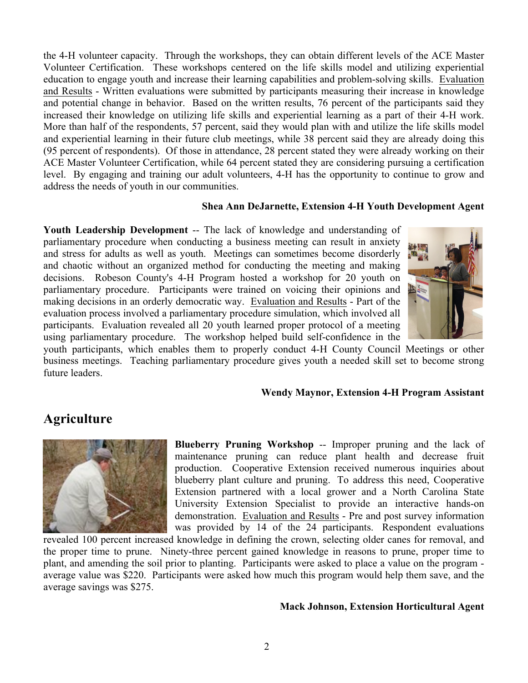the 4-H volunteer capacity. Through the workshops, they can obtain different levels of the ACE Master Volunteer Certification. These workshops centered on the life skills model and utilizing experiential education to engage youth and increase their learning capabilities and problem-solving skills. Evaluation and Results - Written evaluations were submitted by participants measuring their increase in knowledge and potential change in behavior. Based on the written results, 76 percent of the participants said they increased their knowledge on utilizing life skills and experiential learning as a part of their 4-H work. More than half of the respondents, 57 percent, said they would plan with and utilize the life skills model and experiential learning in their future club meetings, while 38 percent said they are already doing this (95 percent of respondents). Of those in attendance, 28 percent stated they were already working on their ACE Master Volunteer Certification, while 64 percent stated they are considering pursuing a certification level. By engaging and training our adult volunteers, 4-H has the opportunity to continue to grow and address the needs of youth in our communities.

#### **Shea Ann DeJarnette, Extension 4-H Youth Development Agent**

**Youth Leadership Development** -- The lack of knowledge and understanding of parliamentary procedure when conducting a business meeting can result in anxiety and stress for adults as well as youth. Meetings can sometimes become disorderly and chaotic without an organized method for conducting the meeting and making decisions. Robeson County's 4-H Program hosted a workshop for 20 youth on parliamentary procedure. Participants were trained on voicing their opinions and making decisions in an orderly democratic way. Evaluation and Results - Part of the evaluation process involved a parliamentary procedure simulation, which involved all participants. Evaluation revealed all 20 youth learned proper protocol of a meeting using parliamentary procedure. The workshop helped build self-confidence in the



youth participants, which enables them to properly conduct 4-H County Council Meetings or other business meetings. Teaching parliamentary procedure gives youth a needed skill set to become strong future leaders.

#### **Wendy Maynor, Extension 4-H Program Assistant**

## **Agriculture**



**Blueberry Pruning Workshop** -- Improper pruning and the lack of maintenance pruning can reduce plant health and decrease fruit production. Cooperative Extension received numerous inquiries about blueberry plant culture and pruning. To address this need, Cooperative Extension partnered with a local grower and a North Carolina State University Extension Specialist to provide an interactive hands-on demonstration. Evaluation and Results - Pre and post survey information was provided by 14 of the 24 participants. Respondent evaluations

revealed 100 percent increased knowledge in defining the crown, selecting older canes for removal, and the proper time to prune. Ninety-three percent gained knowledge in reasons to prune, proper time to plant, and amending the soil prior to planting. Participants were asked to place a value on the program average value was \$220. Participants were asked how much this program would help them save, and the average savings was \$275.

#### **Mack Johnson, Extension Horticultural Agent**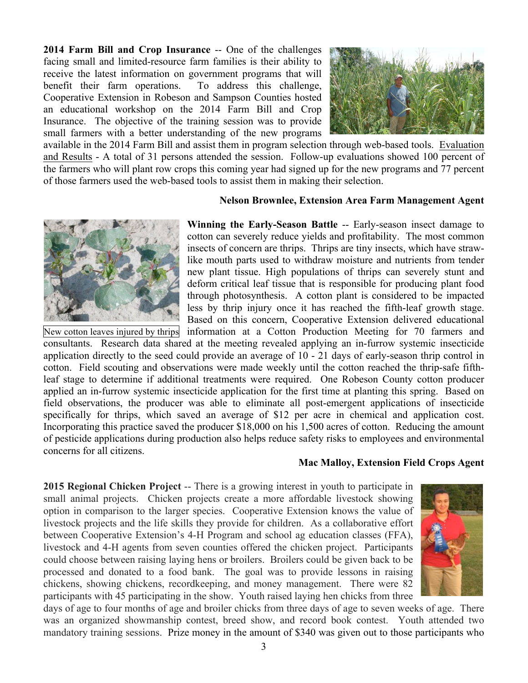**2014 Farm Bill and Crop Insurance** -- One of the challenges facing small and limited-resource farm families is their ability to receive the latest information on government programs that will benefit their farm operations. To address this challenge, Cooperative Extension in Robeson and Sampson Counties hosted an educational workshop on the 2014 Farm Bill and Crop Insurance. The objective of the training session was to provide small farmers with a better understanding of the new programs



available in the 2014 Farm Bill and assist them in program selection through web-based tools. Evaluation and Results - A total of 31 persons attended the session. Follow-up evaluations showed 100 percent of the farmers who will plant row crops this coming year had signed up for the new programs and 77 percent of those farmers used the web-based tools to assist them in making their selection.

#### **Nelson Brownlee, Extension Area Farm Management Agent**



**Winning the Early-Season Battle** -- Early-season insect damage to cotton can severely reduce yields and profitability. The most common insects of concern are thrips. Thrips are tiny insects, which have strawlike mouth parts used to withdraw moisture and nutrients from tender new plant tissue. High populations of thrips can severely stunt and deform critical leaf tissue that is responsible for producing plant food through photosynthesis. A cotton plant is considered to be impacted less by thrip injury once it has reached the fifth-leaf growth stage. Based on this concern, Cooperative Extension delivered educational

New cotton leaves injured by thrips information at a Cotton Production Meeting for 70 farmers and consultants. Research data shared at the meeting revealed applying an in-furrow systemic insecticide application directly to the seed could provide an average of 10 - 21 days of early-season thrip control in cotton. Field scouting and observations were made weekly until the cotton reached the thrip-safe fifthleaf stage to determine if additional treatments were required. One Robeson County cotton producer applied an in-furrow systemic insecticide application for the first time at planting this spring. Based on field observations, the producer was able to eliminate all post-emergent applications of insecticide specifically for thrips, which saved an average of \$12 per acre in chemical and application cost. Incorporating this practice saved the producer \$18,000 on his 1,500 acres of cotton. Reducing the amount of pesticide applications during production also helps reduce safety risks to employees and environmental concerns for all citizens.

#### **Mac Malloy, Extension Field Crops Agent**

**2015 Regional Chicken Project** -- There is a growing interest in youth to participate in small animal projects. Chicken projects create a more affordable livestock showing option in comparison to the larger species. Cooperative Extension knows the value of livestock projects and the life skills they provide for children. As a collaborative effort between Cooperative Extension's 4-H Program and school ag education classes (FFA), livestock and 4-H agents from seven counties offered the chicken project. Participants could choose between raising laying hens or broilers. Broilers could be given back to be processed and donated to a food bank. The goal was to provide lessons in raising chickens, showing chickens, recordkeeping, and money management. There were 82 participants with 45 participating in the show. Youth raised laying hen chicks from three



days of age to four months of age and broiler chicks from three days of age to seven weeks of age. There was an organized showmanship contest, breed show, and record book contest. Youth attended two mandatory training sessions. Prize money in the amount of \$340 was given out to those participants who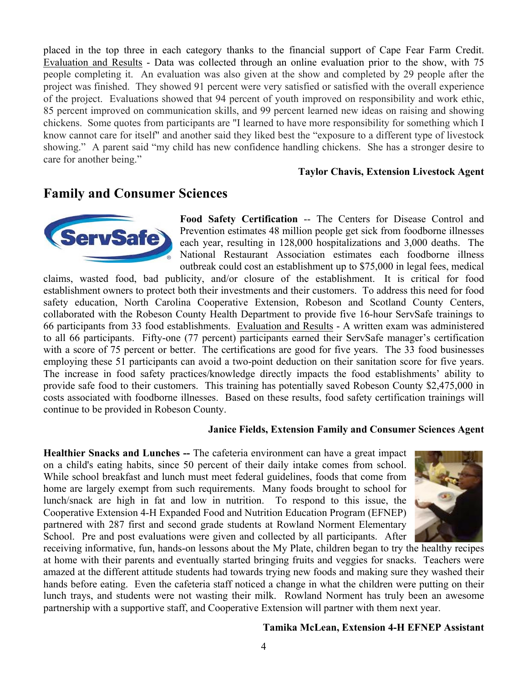placed in the top three in each category thanks to the financial support of Cape Fear Farm Credit. Evaluation and Results - Data was collected through an online evaluation prior to the show, with 75 people completing it. An evaluation was also given at the show and completed by 29 people after the project was finished. They showed 91 percent were very satisfied or satisfied with the overall experience of the project. Evaluations showed that 94 percent of youth improved on responsibility and work ethic, 85 percent improved on communication skills, and 99 percent learned new ideas on raising and showing chickens. Some quotes from participants are "I learned to have more responsibility for something which I know cannot care for itself" and another said they liked best the "exposure to a different type of livestock showing." A parent said "my child has new confidence handling chickens. She has a stronger desire to care for another being."

#### **Taylor Chavis, Extension Livestock Agent**

## **Family and Consumer Sciences**



**Food Safety Certification** -- The Centers for Disease Control and Prevention estimates 48 million people get sick from foodborne illnesses each year, resulting in 128,000 hospitalizations and 3,000 deaths. The National Restaurant Association estimates each foodborne illness outbreak could cost an establishment up to \$75,000 in legal fees, medical

claims, wasted food, bad publicity, and/or closure of the establishment. It is critical for food establishment owners to protect both their investments and their customers. To address this need for food safety education, North Carolina Cooperative Extension, Robeson and Scotland County Centers, collaborated with the Robeson County Health Department to provide five 16-hour ServSafe trainings to 66 participants from 33 food establishments. Evaluation and Results - A written exam was administered to all 66 participants. Fifty-one (77 percent) participants earned their ServSafe manager's certification with a score of 75 percent or better. The certifications are good for five years. The 33 food businesses employing these 51 participants can avoid a two-point deduction on their sanitation score for five years. The increase in food safety practices/knowledge directly impacts the food establishments' ability to provide safe food to their customers. This training has potentially saved Robeson County \$2,475,000 in costs associated with foodborne illnesses. Based on these results, food safety certification trainings will continue to be provided in Robeson County.

#### **Janice Fields, Extension Family and Consumer Sciences Agent**

**Healthier Snacks and Lunches --** The cafeteria environment can have a great impact on a child's eating habits, since 50 percent of their daily intake comes from school. While school breakfast and lunch must meet federal guidelines, foods that come from home are largely exempt from such requirements. Many foods brought to school for lunch/snack are high in fat and low in nutrition. To respond to this issue, the Cooperative Extension 4-H Expanded Food and Nutrition Education Program (EFNEP) partnered with 287 first and second grade students at Rowland Norment Elementary School. Pre and post evaluations were given and collected by all participants. After



receiving informative, fun, hands-on lessons about the My Plate, children began to try the healthy recipes at home with their parents and eventually started bringing fruits and veggies for snacks. Teachers were amazed at the different attitude students had towards trying new foods and making sure they washed their hands before eating. Even the cafeteria staff noticed a change in what the children were putting on their lunch trays, and students were not wasting their milk. Rowland Norment has truly been an awesome partnership with a supportive staff, and Cooperative Extension will partner with them next year.

#### **Tamika McLean, Extension 4-H EFNEP Assistant**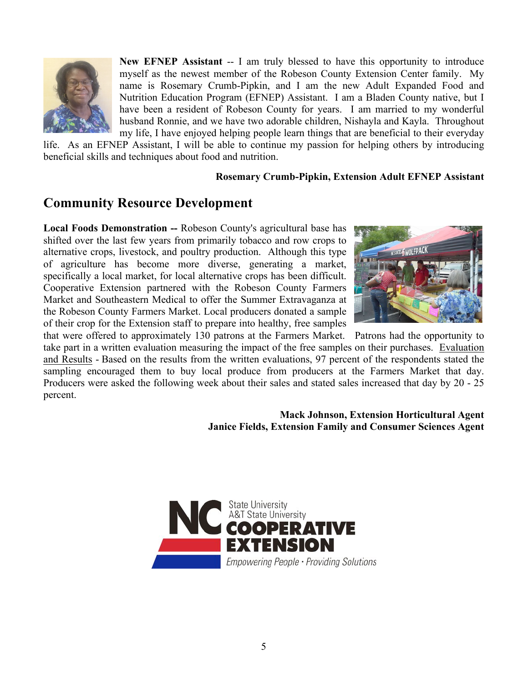

**New EFNEP Assistant** -- I am truly blessed to have this opportunity to introduce myself as the newest member of the Robeson County Extension Center family. My name is Rosemary Crumb-Pipkin, and I am the new Adult Expanded Food and Nutrition Education Program (EFNEP) Assistant. I am a Bladen County native, but I have been a resident of Robeson County for years. I am married to my wonderful husband Ronnie, and we have two adorable children, Nishayla and Kayla. Throughout my life, I have enjoyed helping people learn things that are beneficial to their everyday

life. As an EFNEP Assistant, I will be able to continue my passion for helping others by introducing beneficial skills and techniques about food and nutrition.

### **Rosemary Crumb-Pipkin, Extension Adult EFNEP Assistant**

# **Community Resource Development**

**Local Foods Demonstration --** Robeson County's agricultural base has shifted over the last few years from primarily tobacco and row crops to alternative crops, livestock, and poultry production. Although this type of agriculture has become more diverse, generating a market, specifically a local market, for local alternative crops has been difficult. Cooperative Extension partnered with the Robeson County Farmers Market and Southeastern Medical to offer the Summer Extravaganza at the Robeson County Farmers Market. Local producers donated a sample of their crop for the Extension staff to prepare into healthy, free samples



that were offered to approximately 130 patrons at the Farmers Market. Patrons had the opportunity to take part in a written evaluation measuring the impact of the free samples on their purchases. Evaluation and Results - Based on the results from the written evaluations, 97 percent of the respondents stated the sampling encouraged them to buy local produce from producers at the Farmers Market that day. Producers were asked the following week about their sales and stated sales increased that day by 20 - 25 percent.

## **Mack Johnson, Extension Horticultural Agent Janice Fields, Extension Family and Consumer Sciences Agent**